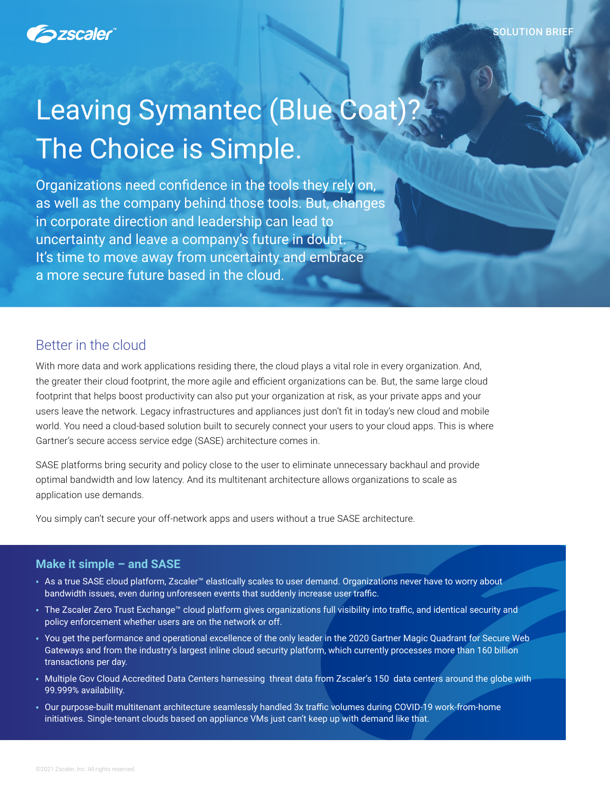

# Leaving Symantec (Blue Coat)? The Choice is Simple.

Organizations need confidence in the tools they rely on, as well as the company behind those tools. But, changes in corporate direction and leadership can lead to uncertainty and leave a company's future in doubt. It's time to move away from uncertainty and embrace a more secure future based in the cloud.

# Better in the cloud

With more data and work applications residing there, the cloud plays a vital role in every organization. And, the greater their cloud footprint, the more agile and efficient organizations can be. But, the same large cloud footprint that helps boost productivity can also put your organization at risk, as your private apps and your users leave the network. Legacy infrastructures and appliances just don't fit in today's new cloud and mobile world. You need a cloud-based solution built to securely connect your users to your cloud apps. This is where Gartner's secure access service edge (SASE) architecture comes in.

SASE platforms bring security and policy close to the user to eliminate unnecessary backhaul and provide optimal bandwidth and low latency. And its multitenant architecture allows organizations to scale as application use demands.

You simply can't secure your off-network apps and users without a true SASE architecture.

#### **Make it simple – and SASE**

- As a true SASE cloud platform, Zscaler™ elastically scales to user demand. Organizations never have to worry about bandwidth issues, even during unforeseen events that suddenly increase user traffic.
- The Zscaler Zero Trust Exchange™ cloud platform gives organizations full visibility into traffic, and identical security and policy enforcement whether users are on the network or off.
- You get the performance and operational excellence of the only leader in the 2020 Gartner Magic Quadrant for Secure Web Gateways and from the industry's largest inline cloud security platform, which currently processes more than 160 billion transactions per day.
- Multiple Gov Cloud Accredited Data Centers harnessing threat data from Zscaler's 150 data centers around the globe with 99.999% availability.
- Our purpose-built multitenant architecture seamlessly handled 3x traffic volumes during COVID-19 work-from-home initiatives. Single-tenant clouds based on appliance VMs just can't keep up with demand like that.